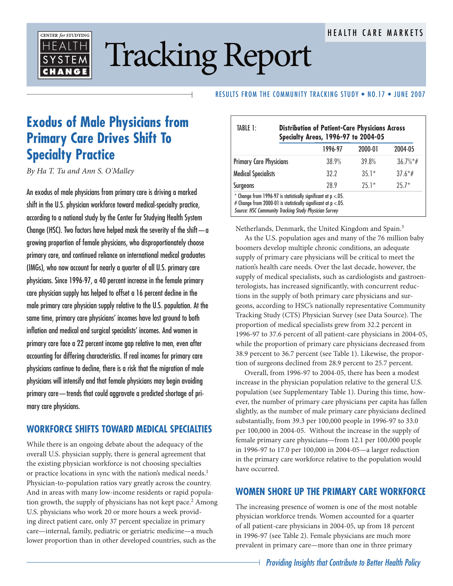#### HEALTH CARE MARKETS



# Tracking Report

#### RESULTS FROM THE COMMUNITY TRACKING STUDY . NO.17 . JUNE 2007

## **Exodus of Male Physicians from Primary Care Drives Shift To Specialty Practice**

*By Ha T. Tu and Ann S. O'Malley*

An exodus of male physicians from primary care is driving a marked shift in the U.S. physician workforce toward medical-specialty practice, according to a national study by the Center for Studying Health System Change (HSC). Two factors have helped mask the severity of the shift  $-\alpha$ growing proportion of female physicians, who disproportionately choose primary care, and continued reliance on international medical graduates (IMGs), who now account for nearly a quarter of all U.S. primary care physicians. Since 1996-97, a 40 percent increase in the female primary care physician supply has helped to offset a 16 percent decline in the male primary care physician supply relative to the U.S. population. At the same time, primary care physicians' incomes have lost ground to both inflation and medical and surgical specialists' incomes. And women in primary care face a 22 percent income gap relative to men, even after accounting for differing characteristics. If real incomes for primary care physicians continue to decline, there is a risk that the migration of male physicians will intensify and that female physicians may begin avoiding primary care—trends that could aggravate a predicted shortage of primary care physicians.

#### **WORKFORCE SHIFTS TOWARD MEDICAL SPECIALTIES**

While there is an ongoing debate about the adequacy of the overall U.S. physician supply, there is general agreement that the existing physician workforce is not choosing specialties or practice locations in sync with the nation's medical needs.1 Physician-to-population ratios vary greatly across the country. And in areas with many low-income residents or rapid population growth, the supply of physicians has not kept pace.<sup>2</sup> Among U.S. physicians who work 20 or more hours a week providing direct patient care, only 37 percent specialize in primary care—internal, family, pediatric or geriatric medicine—a much lower proportion than in other developed countries, such as the

|                                | 1996-97 | 2000-01 | 2004-05                 |
|--------------------------------|---------|---------|-------------------------|
| <b>Primary Care Physicians</b> | 38.9%   | 39.8%   | $36.7\%$ <sup>*</sup> # |
| <b>Medical Specialists</b>     | 32 Z    | $35.1*$ | $37.6*$ #               |
| <b>Surgeons</b>                | 28.9    | $25.1*$ | $757*$                  |

Netherlands, Denmark, the United Kingdom and Spain.3

As the U.S. population ages and many of the 76 million baby boomers develop multiple chronic conditions, an adequate supply of primary care physicians will be critical to meet the nation's health care needs. Over the last decade, however, the supply of medical specialists, such as cardiologists and gastroenterologists, has increased significantly, with concurrent reductions in the supply of both primary care physicians and surgeons, according to HSC's nationally representative Community Tracking Study (CTS) Physician Survey (see Data Source). The proportion of medical specialists grew from 32.2 percent in 1996-97 to 37.6 percent of all patient-care physicians in 2004-05, while the proportion of primary care physicians decreased from 38.9 percent to 36.7 percent (see Table 1). Likewise, the proportion of surgeons declined from 28.9 percent to 25.7 percent.

Overall, from 1996-97 to 2004-05, there has been a modest increase in the physician population relative to the general U.S. population (see Supplementary Table 1). During this time, however, the number of primary care physicians per capita has fallen slightly, as the number of male primary care physicians declined substantially, from 39.3 per 100,000 people in 1996-97 to 33.0 per 100,000 in 2004-05. Without the increase in the supply of female primary care physicians—from 12.1 per 100,000 people in 1996-97 to 17.0 per 100,000 in 2004-05—a larger reduction in the primary care workforce relative to the population would have occurred.

### **WOMEN SHORE UP THE PRIMARY CARE WORKFORCE**

The increasing presence of women is one of the most notable physician workforce trends. Women accounted for a quarter of all patient-care physicians in 2004-05, up from 18 percent in 1996-97 (see Table 2). Female physicians are much more prevalent in primary care—more than one in three primary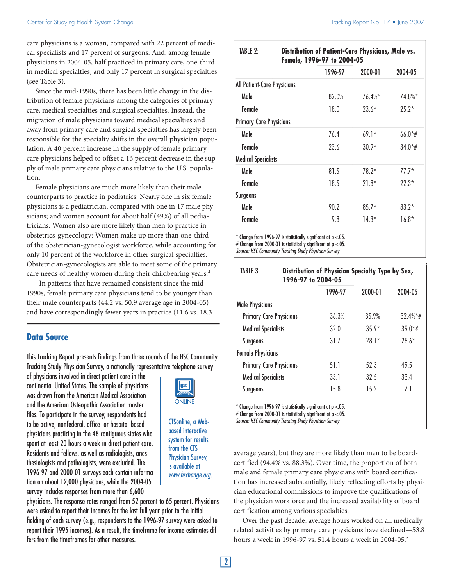care physicians is a woman, compared with 22 percent of medical specialists and 17 percent of surgeons. And, among female physicians in 2004-05, half practiced in primary care, one-third in medical specialties, and only 17 percent in surgical specialties (see Table 3).

Since the mid-1990s, there has been little change in the distribution of female physicians among the categories of primary care, medical specialties and surgical specialties. Instead, the migration of male physicians toward medical specialties and away from primary care and surgical specialties has largely been responsible for the specialty shifts in the overall physician population. A 40 percent increase in the supply of female primary care physicians helped to offset a 16 percent decrease in the supply of male primary care physicians relative to the U.S. population.

Female physicians are much more likely than their male counterparts to practice in pediatrics: Nearly one in six female physicians is a pediatrician, compared with one in 17 male physicians; and women account for about half (49%) of all pediatricians. Women also are more likely than men to practice in obstetrics-gynecology: Women make up more than one-third of the obstetrician-gynecologist workforce, while accounting for only 10 percent of the workforce in other surgical specialties. Obstetrician-gynecologists are able to meet some of the primary care needs of healthy women during their childbearing years.4

 In patterns that have remained consistent since the mid-1990s, female primary care physicians tend to be younger than their male counterparts (44.2 vs. 50.9 average age in 2004-05) and have correspondingly fewer years in practice (11.6 vs. 18.3

#### **Data Source**

This Tracking Report presents findings from three rounds of the HSC Community Tracking Study Physician Survey, a nationally representative telephone survey

of physicians involved in direct patient care in the continental United States. The sample of physicians was drawn from the American Medical Association and the American Osteopathic Association master files. To participate in the survey, respondents had to be active, nonfederal, office- or hospital-based physicians practicing in the 48 contiguous states who spent at least 20 hours a week in direct patient care. Residents and fellows, as well as radiologists, anesthesiologists and pathologists, were excluded. The 1996-97 and 2000-01 surveys each contain information on about 12,000 physicians, while the 2004-05 survey includes responses from more than 6,600



CTSonline, a Webbased interactive system for results from the CTS Physician Survey, is available at www.hschange.org.

physicians. The response rates ranged from 52 percent to 65 percent. Physicians were asked to report their incomes for the last full year prior to the initial fielding of each survey (e.g., respondents to the 1996-97 survey were asked to report their 1995 incomes). As a result, the timeframe for income estimates differs from the timeframes for other measures.

| TABLE 2:                       | Distribution of Patient-Care Physicians, Male vs.<br>Female, 1996-97 to 2004-05 |         |          |            |
|--------------------------------|---------------------------------------------------------------------------------|---------|----------|------------|
|                                |                                                                                 | 1996-97 | 2000-01  | 2004-05    |
| All Patient-Care Physicians    |                                                                                 |         |          |            |
| Male                           |                                                                                 | 82.0%   | $76.4\%$ | $74.8\%$ * |
| Female                         |                                                                                 | 18.0    | $73.6*$  | $75.2*$    |
| <b>Primary Care Physicians</b> |                                                                                 |         |          |            |
| Male                           |                                                                                 | 76.4    | $69.1*$  | $66.0*$ #  |
| Female                         |                                                                                 | 23.6    | $30.9*$  | $34.0*$ #  |
| <b>Medical Specialists</b>     |                                                                                 |         |          |            |
| Male                           |                                                                                 | 81.5    | $78.2*$  | $77.7*$    |
| Female                         |                                                                                 | 18.5    | $21.8*$  | $72.3*$    |
| <b>Surgeons</b>                |                                                                                 |         |          |            |
| Male                           |                                                                                 | 90.2    | $85.7*$  | $83.2*$    |
| Female                         |                                                                                 | 9.8     | $14.3*$  | $16.8*$    |

 $*$  Change from 1996-97 is statistically significant at p  $< 0.05$ .

# Change from 2000-01 is statistically significant at  $p < 0.05$ .

Source: HSC Community Tracking Study Physician Survey

|                                | 1996-97 | 2000-01 | 2004-05     |
|--------------------------------|---------|---------|-------------|
| <b>Male Physicians</b>         |         |         |             |
| <b>Primary Care Physicians</b> | 36.3%   | 35.9%   | $32.4\%*$ # |
| <b>Medical Specialists</b>     | 32.O    | $35.9*$ | $39.0*$ #   |
| <b>Surgeons</b>                | 31.7    | $78.1*$ | $78.6*$     |
| <b>Female Physicians</b>       |         |         |             |
| <b>Primary Care Physicians</b> | 51.1    | 52.3    | 49.5        |
| <b>Medical Specialists</b>     | 33.1    | 32.5    | 33.4        |
| <b>Surgeons</b>                | 15.8    | 15.2    | 17.1        |

Source: HSC Community Tracking Study Physician Survey

average years), but they are more likely than men to be boardcertified (94.4% vs. 88.3%). Over time, the proportion of both male and female primary care physicians with board certification has increased substantially, likely reflecting efforts by physician educational commissions to improve the qualifications of the physician workforce and the increased availability of board certification among various specialties.

Over the past decade, average hours worked on all medically related activities by primary care physicians have declined—53.8 hours a week in 1996-97 vs. 51.4 hours a week in 2004-05.<sup>5</sup>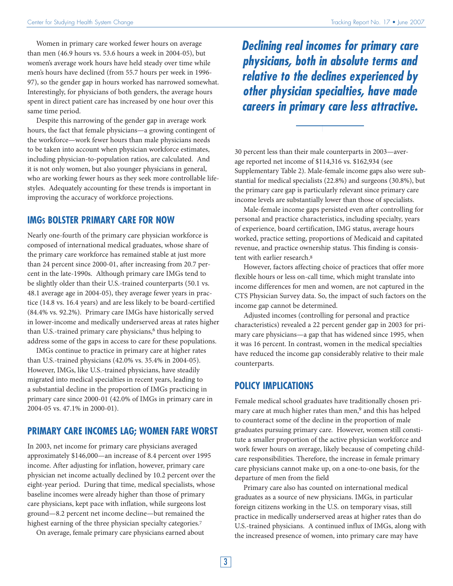Women in primary care worked fewer hours on average than men (46.9 hours vs. 53.6 hours a week in 2004-05), but women's average work hours have held steady over time while men's hours have declined (from 55.7 hours per week in 1996- 97), so the gender gap in hours worked has narrowed somewhat. Interestingly, for physicians of both genders, the average hours spent in direct patient care has increased by one hour over this same time period.

Despite this narrowing of the gender gap in average work hours, the fact that female physicians—a growing contingent of the workforce—work fewer hours than male physicians needs to be taken into account when physician workforce estimates, including physician-to-population ratios, are calculated. And it is not only women, but also younger physicians in general, who are working fewer hours as they seek more controllable lifestyles. Adequately accounting for these trends is important in improving the accuracy of workforce projections.

#### **IMGS BOLSTER PRIMARY CARE FOR NOW**

Nearly one-fourth of the primary care physician workforce is composed of international medical graduates, whose share of the primary care workforce has remained stable at just more than 24 percent since 2000-01, after increasing from 20.7 percent in the late-1990s. Although primary care IMGs tend to be slightly older than their U.S.-trained counterparts (50.1 vs. 48.1 average age in 2004-05), they average fewer years in practice (14.8 vs. 16.4 years) and are less likely to be board-certified (84.4% vs. 92.2%). Primary care IMGs have historically served in lower-income and medically underserved areas at rates higher than U.S.-trained primary care physicians, $6$  thus helping to address some of the gaps in access to care for these populations.

IMGs continue to practice in primary care at higher rates than U.S.-trained physicians (42.0% vs. 35.4% in 2004-05). However, IMGs, like U.S.-trained physicians, have steadily migrated into medical specialties in recent years, leading to a substantial decline in the proportion of IMGs practicing in primary care since 2000-01 (42.0% of IMGs in primary care in 2004-05 vs. 47.1% in 2000-01).

#### **PRIMARY CARE INCOMES LAG; WOMEN FARE WORST**

In 2003, net income for primary care physicians averaged approximately \$146,000—an increase of 8.4 percent over 1995 income. After adjusting for inflation, however, primary care physician net income actually declined by 10.2 percent over the eight-year period. During that time, medical specialists, whose baseline incomes were already higher than those of primary care physicians, kept pace with inflation, while surgeons lost ground—8.2 percent net income decline—but remained the highest earning of the three physician specialty categories.<sup>7</sup>

On average, female primary care physicians earned about

**Declining real incomes for primary care physicians, both in absolute terms and relative to the declines experienced by other physician specialties, have made careers in primary care less attractive.**

30 percent less than their male counterparts in 2003—average reported net income of \$114,316 vs. \$162,934 (see Supplementary Table 2). Male-female income gaps also were substantial for medical specialists (22.8%) and surgeons (30.8%), but the primary care gap is particularly relevant since primary care income levels are substantially lower than those of specialists.

Male-female income gaps persisted even after controlling for personal and practice characteristics, including specialty, years of experience, board certification, IMG status, average hours worked, practice setting, proportions of Medicaid and capitated revenue, and practice ownership status. This finding is consistent with earlier research.8

However, factors affecting choice of practices that offer more flexible hours or less on-call time, which might translate into income differences for men and women, are not captured in the CTS Physician Survey data. So, the impact of such factors on the income gap cannot be determined.

Adjusted incomes (controlling for personal and practice characteristics) revealed a 22 percent gender gap in 2003 for primary care physicians—a gap that has widened since 1995, when it was 16 percent. In contrast, women in the medical specialties have reduced the income gap considerably relative to their male counterparts.

#### **POLICY IMPLICATIONS**

Female medical school graduates have traditionally chosen primary care at much higher rates than men,<sup>9</sup> and this has helped to counteract some of the decline in the proportion of male graduates pursuing primary care. However, women still constitute a smaller proportion of the active physician workforce and work fewer hours on average, likely because of competing childcare responsibilities. Therefore, the increase in female primary care physicians cannot make up, on a one-to-one basis, for the departure of men from the field

Primary care also has counted on international medical graduates as a source of new physicians. IMGs, in particular foreign citizens working in the U.S. on temporary visas, still practice in medically underserved areas at higher rates than do U.S.-trained physicians. A continued influx of IMGs, along with the increased presence of women, into primary care may have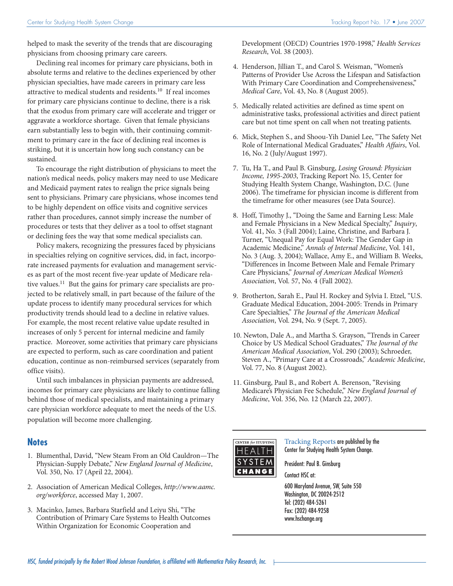helped to mask the severity of the trends that are discouraging physicians from choosing primary care careers.

Declining real incomes for primary care physicians, both in absolute terms and relative to the declines experienced by other physician specialties, have made careers in primary care less attractive to medical students and residents.10 If real incomes for primary care physicians continue to decline, there is a risk that the exodus from primary care will accelerate and trigger or aggravate a workforce shortage. Given that female physicians earn substantially less to begin with, their continuing commitment to primary care in the face of declining real incomes is striking, but it is uncertain how long such constancy can be sustained.

To encourage the right distribution of physicians to meet the nation's medical needs, policy makers may need to use Medicare and Medicaid payment rates to realign the price signals being sent to physicians. Primary care physicians, whose incomes tend to be highly dependent on office visits and cognitive services rather than procedures, cannot simply increase the number of procedures or tests that they deliver as a tool to offset stagnant or declining fees the way that some medical specialists can.

Policy makers, recognizing the pressures faced by physicians in specialties relying on cognitive services, did, in fact, incorporate increased payments for evaluation and management services as part of the most recent five-year update of Medicare relative values.11 But the gains for primary care specialists are projected to be relatively small, in part because of the failure of the update process to identify many procedural services for which productivity trends should lead to a decline in relative values. For example, the most recent relative value update resulted in increases of only 5 percent for internal medicine and family practice. Moreover, some activities that primary care physicians are expected to perform, such as care coordination and patient education, continue as non-reimbursed services (separately from office visits).

Until such imbalances in physician payments are addressed, incomes for primary care physicians are likely to continue falling behind those of medical specialists, and maintaining a primary care physician workforce adequate to meet the needs of the U.S. population will become more challenging.

#### **Notes**

- 1. Blumenthal, David, "New Steam From an Old Cauldron—The Physician-Supply Debate," *New England Journal of Medicine*, Vol. 350, No. 17 (April 22, 2004).
- 2. Association of American Medical Colleges, *http://www.aamc. org/workforce*, accessed May 1, 2007.
- 3. Macinko, James, Barbara Starfield and Leiyu Shi, "The Contribution of Primary Care Systems to Health Outcomes Within Organization for Economic Cooperation and

Development (OECD) Countries 1970-1998," *Health Services Research*, Vol. 38 (2003).

- 4. Henderson, Jillian T., and Carol S. Weisman, "Women's Patterns of Provider Use Across the Lifespan and Satisfaction With Primary Care Coordination and Comprehensiveness," *Medical Care*, Vol. 43, No. 8 (August 2005).
- 5. Medically related activities are defined as time spent on administrative tasks, professional activities and direct patient care but not time spent on call when not treating patients.
- 6. Mick, Stephen S., and Shoou-Yih Daniel Lee, "The Safety Net Role of International Medical Graduates," *Health Affairs*, Vol. 16, No. 2 (July/August 1997).
- 7. Tu, Ha T., and Paul B. Ginsburg, *Losing Ground: Physician Income, 1995-2003*, Tracking Report No. 15, Center for Studying Health System Change, Washington, D.C. (June 2006). The timeframe for physician income is different from the timeframe for other measures (see Data Source).
- 8. Hoff, Timothy J., "Doing the Same and Earning Less: Male and Female Physicians in a New Medical Specialty," *Inquiry*, Vol. 41, No. 3 (Fall 2004); Laine, Christine, and Barbara J. Turner, "Unequal Pay for Equal Work: The Gender Gap in Academic Medicine," *Annals of Internal Medicine*, Vol. 141, No. 3 (Aug. 3, 2004); Wallace, Amy E., and William B. Weeks, "Differences in Income Between Male and Female Primary Care Physicians," *Journal of American Medical Women's Association*, Vol. 57, No. 4 (Fall 2002).
- 9. Brotherton, Sarah E., Paul H. Rockey and Sylvia I. Etzel, "U.S. Graduate Medical Education, 2004-2005: Trends in Primary Care Specialties," *The Journal of the American Medical Association*, Vol. 294, No. 9 (Sept. 7, 2005).
- 10. Newton, Dale A., and Martha S. Grayson, "Trends in Career Choice by US Medical School Graduates," *The Journal of the American Medical Association*, Vol. 290 (2003); Schroeder, Steven A., "Primary Care at a Crossroads," *Academic Medicine*, Vol. 77, No. 8 (August 2002).
- 11. Ginsburg, Paul B., and Robert A. Berenson, "Revising Medicare's Physician Fee Schedule," *New England Journal of Medicine*, Vol. 356, No. 12 (March 22, 2007).



Tracking Reports are published by the Center for Studying Health System Change.

President: Paul B. Ginsburg Contact HSC at:

600 Maryland Avenue, SW, Suite 550 Washington, DC 20024-2512 Tel: (202) 484-5261 Fax: (202) 484-9258 www.hschange.org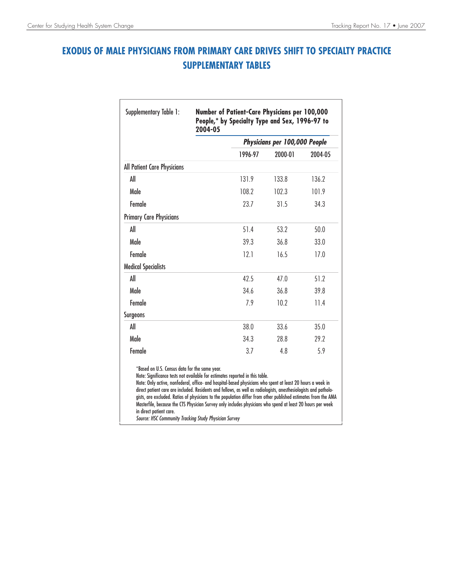## **EXODUS OF MALE PHYSICIANS FROM PRIMARY CARE DRIVES SHIFT TO SPECIALTY PRACTICE SUPPLEMENTARY TABLES**

|                                                                          | 2004-05<br>Physicians per 100,000 People                                                                                                                                                                                                                                                                                                                                                                                                                                                                                                       |         |         |
|--------------------------------------------------------------------------|------------------------------------------------------------------------------------------------------------------------------------------------------------------------------------------------------------------------------------------------------------------------------------------------------------------------------------------------------------------------------------------------------------------------------------------------------------------------------------------------------------------------------------------------|---------|---------|
|                                                                          | 1996-97                                                                                                                                                                                                                                                                                                                                                                                                                                                                                                                                        | 2000-01 | 2004-05 |
| All Patient Care Physicians                                              |                                                                                                                                                                                                                                                                                                                                                                                                                                                                                                                                                |         |         |
| All                                                                      | 131.9                                                                                                                                                                                                                                                                                                                                                                                                                                                                                                                                          | 133.8   | 136.2   |
| Male                                                                     | 108.2                                                                                                                                                                                                                                                                                                                                                                                                                                                                                                                                          | 102.3   | 101.9   |
| Female                                                                   | 23.7                                                                                                                                                                                                                                                                                                                                                                                                                                                                                                                                           | 31.5    | 34.3    |
| <b>Primary Care Physicians</b>                                           |                                                                                                                                                                                                                                                                                                                                                                                                                                                                                                                                                |         |         |
| All                                                                      | 51.4                                                                                                                                                                                                                                                                                                                                                                                                                                                                                                                                           | 53.2    | 50.0    |
| Male                                                                     | 39.3                                                                                                                                                                                                                                                                                                                                                                                                                                                                                                                                           | 36.8    | 33.0    |
| <b>Female</b>                                                            | 12.1                                                                                                                                                                                                                                                                                                                                                                                                                                                                                                                                           | 16.5    | 17.0    |
| <b>Medical Specialists</b>                                               |                                                                                                                                                                                                                                                                                                                                                                                                                                                                                                                                                |         |         |
| All                                                                      | 42.5                                                                                                                                                                                                                                                                                                                                                                                                                                                                                                                                           | 47.0    | 51.2    |
| Male                                                                     | 34.6                                                                                                                                                                                                                                                                                                                                                                                                                                                                                                                                           | 36.8    | 39.8    |
| <b>Female</b>                                                            | 7.9                                                                                                                                                                                                                                                                                                                                                                                                                                                                                                                                            | 10.2    | 11.4    |
| <b>Surgeons</b>                                                          |                                                                                                                                                                                                                                                                                                                                                                                                                                                                                                                                                |         |         |
| All                                                                      | 38.0                                                                                                                                                                                                                                                                                                                                                                                                                                                                                                                                           | 33.6    | 35.0    |
| Male                                                                     | 34.3                                                                                                                                                                                                                                                                                                                                                                                                                                                                                                                                           | 28.8    | 29.2    |
| Female                                                                   | 3.7                                                                                                                                                                                                                                                                                                                                                                                                                                                                                                                                            | 4.8     | 5.9     |
| *Based on U.S. Census data for the same year.<br>in direct patient care. | Note: Significance tests not available for estimates reported in this table.<br>Note: Only active, nonfederal, office- and hospital-based physicians who spent at least 20 hours a week in<br>direct patient care are included. Residents and fellows, as well as radiologists, anesthesiologists and patholo-<br>gists, are excluded. Ratios of physicians to the population differ from other published estimates from the AMA<br>Masterfile, because the CTS Physician Survey only includes physicians who spend at least 20 hours per week |         |         |

Source: HSC Community Tracking Study Physician Survey